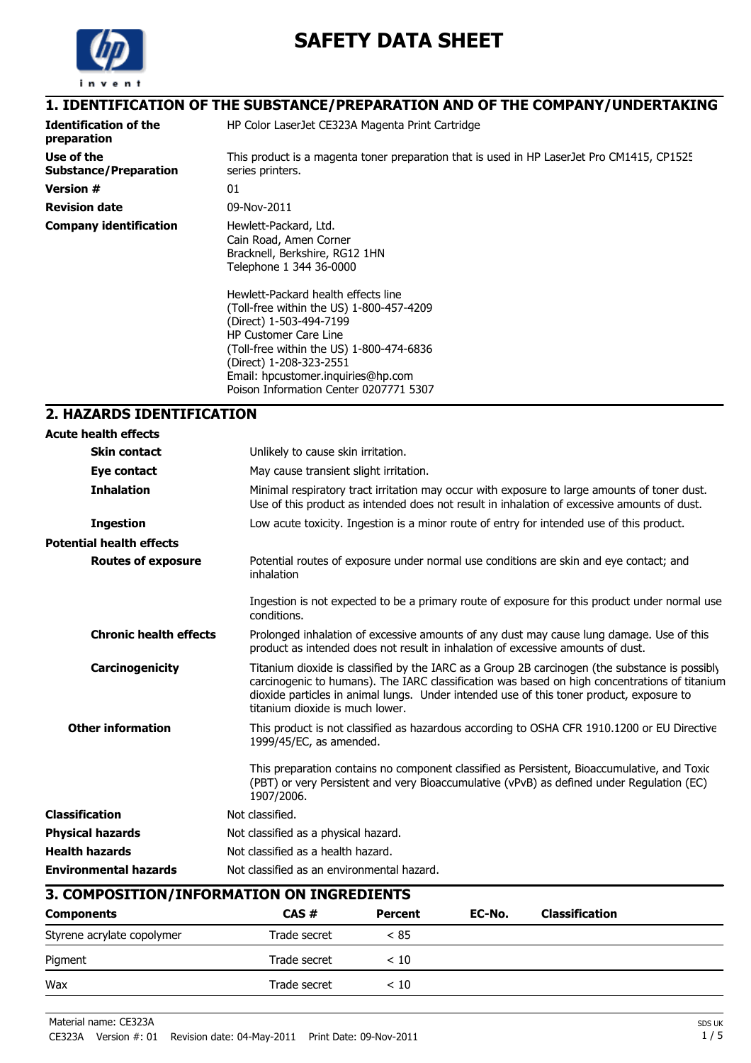

# **SAFETY DATA SHEET**

|                                             | 1. IDENTIFICATION OF THE SUBSTANCE/PREPARATION AND OF THE COMPANY/UNDERTAKING                                                                                                                                                                                                                     |
|---------------------------------------------|---------------------------------------------------------------------------------------------------------------------------------------------------------------------------------------------------------------------------------------------------------------------------------------------------|
| <b>Identification of the</b><br>preparation | HP Color LaserJet CE323A Magenta Print Cartridge                                                                                                                                                                                                                                                  |
| Use of the<br><b>Substance/Preparation</b>  | This product is a magenta toner preparation that is used in HP LaserJet Pro CM1415, CP1525<br>series printers.                                                                                                                                                                                    |
| <b>Version #</b>                            | 01                                                                                                                                                                                                                                                                                                |
| <b>Revision date</b>                        | 09-Nov-2011                                                                                                                                                                                                                                                                                       |
| <b>Company identification</b>               | Hewlett-Packard, Ltd.<br>Cain Road, Amen Corner<br>Bracknell, Berkshire, RG12 1HN<br>Telephone 1 344 36-0000                                                                                                                                                                                      |
|                                             | Hewlett-Packard health effects line<br>(Toll-free within the US) 1-800-457-4209<br>(Direct) 1-503-494-7199<br><b>HP Customer Care Line</b><br>(Toll-free within the US) 1-800-474-6836<br>(Direct) 1-208-323-2551<br>Email: hpcustomer.inquiries@hp.com<br>Poison Information Center 0207771 5307 |

## **2. HAZARDS IDENTIFICATION**

| <b>Acute health effects</b>     |                                                                                                                                                                                                                                                                                                                                |
|---------------------------------|--------------------------------------------------------------------------------------------------------------------------------------------------------------------------------------------------------------------------------------------------------------------------------------------------------------------------------|
| <b>Skin contact</b>             | Unlikely to cause skin irritation.                                                                                                                                                                                                                                                                                             |
| Eye contact                     | May cause transient slight irritation.                                                                                                                                                                                                                                                                                         |
| <b>Inhalation</b>               | Minimal respiratory tract irritation may occur with exposure to large amounts of toner dust.<br>Use of this product as intended does not result in inhalation of excessive amounts of dust.                                                                                                                                    |
| <b>Ingestion</b>                | Low acute toxicity. Ingestion is a minor route of entry for intended use of this product.                                                                                                                                                                                                                                      |
| <b>Potential health effects</b> |                                                                                                                                                                                                                                                                                                                                |
| <b>Routes of exposure</b>       | Potential routes of exposure under normal use conditions are skin and eye contact; and<br>inhalation                                                                                                                                                                                                                           |
|                                 | Ingestion is not expected to be a primary route of exposure for this product under normal use<br>conditions.                                                                                                                                                                                                                   |
| <b>Chronic health effects</b>   | Prolonged inhalation of excessive amounts of any dust may cause lung damage. Use of this<br>product as intended does not result in inhalation of excessive amounts of dust.                                                                                                                                                    |
| Carcinogenicity                 | Titanium dioxide is classified by the IARC as a Group 2B carcinogen (the substance is possibly<br>carcinogenic to humans). The IARC classification was based on high concentrations of titanium<br>dioxide particles in animal lungs. Under intended use of this toner product, exposure to<br>titanium dioxide is much lower. |
| <b>Other information</b>        | This product is not classified as hazardous according to OSHA CFR 1910.1200 or EU Directive<br>1999/45/EC, as amended.                                                                                                                                                                                                         |
|                                 | This preparation contains no component classified as Persistent, Bioaccumulative, and Toxic<br>(PBT) or very Persistent and very Bioaccumulative (vPvB) as defined under Regulation (EC)<br>1907/2006.                                                                                                                         |
| <b>Classification</b>           | Not classified.                                                                                                                                                                                                                                                                                                                |
| <b>Physical hazards</b>         | Not classified as a physical hazard.                                                                                                                                                                                                                                                                                           |
| <b>Health hazards</b>           | Not classified as a health hazard.                                                                                                                                                                                                                                                                                             |
| <b>Environmental hazards</b>    | Not classified as an environmental hazard.                                                                                                                                                                                                                                                                                     |
|                                 | 2 COMBOCITION (INFORMATION ON INCREDIENTS                                                                                                                                                                                                                                                                                      |

| 3. COMPOSITION/INFORMATION ON INGREDIENTS |              |                |        |                |  |
|-------------------------------------------|--------------|----------------|--------|----------------|--|
| <b>Components</b>                         | CAS#         | <b>Percent</b> | EC-No. | Classification |  |
| Styrene acrylate copolymer                | Trade secret | ~< 85          |        |                |  |
| Pigment                                   | Trade secret | < 10           |        |                |  |
| Wax                                       | Trade secret | < 10           |        |                |  |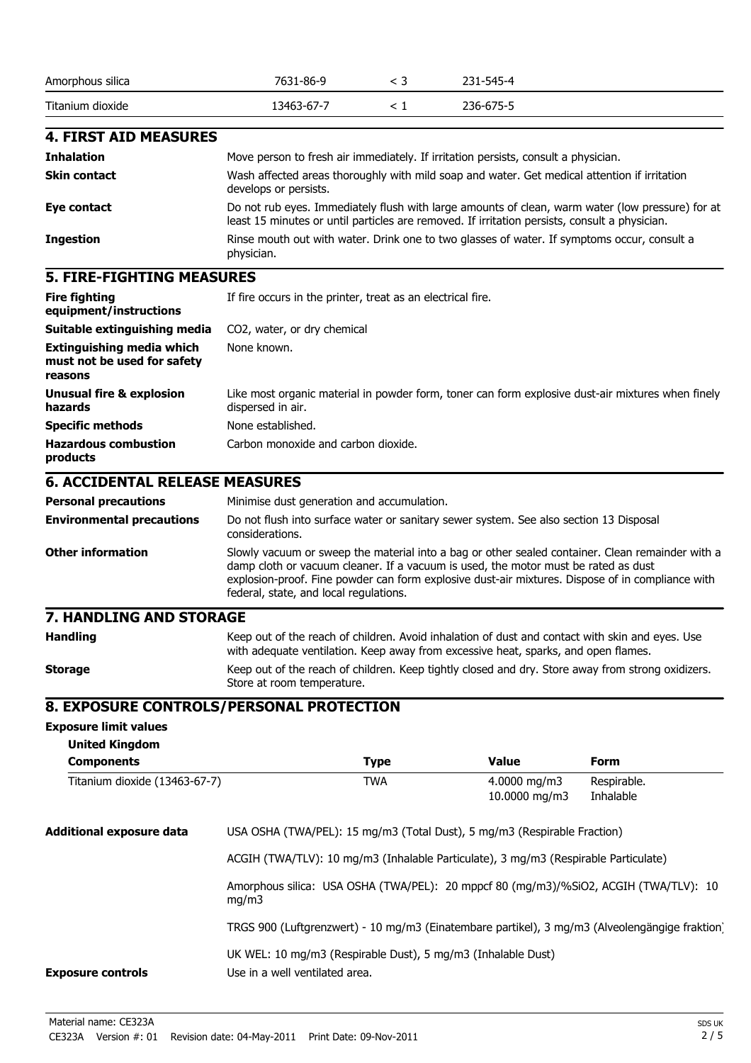| Amorphous silica | 7631-86-9  | 231-545-4 |
|------------------|------------|-----------|
| Titanium dioxide | 13463-67-7 | 236-675-5 |

#### **4. FIRST AID MEASURES**

| <b>Inhalation</b>   | Move person to fresh air immediately. If irritation persists, consult a physician.                                                                                                                |
|---------------------|---------------------------------------------------------------------------------------------------------------------------------------------------------------------------------------------------|
| <b>Skin contact</b> | Wash affected areas thoroughly with mild soap and water. Get medical attention if irritation<br>develops or persists.                                                                             |
| Eye contact         | Do not rub eyes. Immediately flush with large amounts of clean, warm water (low pressure) for at<br>least 15 minutes or until particles are removed. If irritation persists, consult a physician. |
| <b>Ingestion</b>    | Rinse mouth out with water. Drink one to two glasses of water. If symptoms occur, consult a<br>physician.                                                                                         |

#### **5. FIRE-FIGHTING MEASURES**

| <b>Fire fighting</b><br>equipment/instructions                             | If fire occurs in the printer, treat as an electrical fire.                                                            |
|----------------------------------------------------------------------------|------------------------------------------------------------------------------------------------------------------------|
| Suitable extinguishing media                                               | CO2, water, or dry chemical                                                                                            |
| <b>Extinguishing media which</b><br>must not be used for safety<br>reasons | None known.                                                                                                            |
| <b>Unusual fire &amp; explosion</b><br>hazards                             | Like most organic material in powder form, toner can form explosive dust-air mixtures when finely<br>dispersed in air. |
| <b>Specific methods</b>                                                    | None established.                                                                                                      |
| <b>Hazardous combustion</b><br>products                                    | Carbon monoxide and carbon dioxide.                                                                                    |

## **6. ACCIDENTAL RELEASE MEASURES**

| <b>Personal precautions</b>      | Minimise dust generation and accumulation.                                                                                                                                                                                                                                                                                           |
|----------------------------------|--------------------------------------------------------------------------------------------------------------------------------------------------------------------------------------------------------------------------------------------------------------------------------------------------------------------------------------|
| <b>Environmental precautions</b> | Do not flush into surface water or sanitary sewer system. See also section 13 Disposal<br>considerations.                                                                                                                                                                                                                            |
| <b>Other information</b>         | Slowly vacuum or sweep the material into a bag or other sealed container. Clean remainder with a<br>damp cloth or vacuum cleaner. If a vacuum is used, the motor must be rated as dust<br>explosion-proof. Fine powder can form explosive dust-air mixtures. Dispose of in compliance with<br>federal, state, and local regulations. |

## **7. HANDLING AND STORAGE**

| <b>Handling</b> | Keep out of the reach of children. Avoid inhalation of dust and contact with skin and eyes. Use<br>with adequate ventilation. Keep away from excessive heat, sparks, and open flames. |
|-----------------|---------------------------------------------------------------------------------------------------------------------------------------------------------------------------------------|
| <b>Storage</b>  | Keep out of the reach of children. Keep tightly closed and dry. Store away from strong oxidizers.<br>Store at room temperature.                                                       |

#### **8. EXPOSURE CONTROLS/PERSONAL PROTECTION**

#### **Exposure limit values**

| <b>United Kingdom</b>         |                                                                                     |                                                              |                                           |                                                                                                |  |
|-------------------------------|-------------------------------------------------------------------------------------|--------------------------------------------------------------|-------------------------------------------|------------------------------------------------------------------------------------------------|--|
| <b>Components</b>             |                                                                                     | <b>Type</b>                                                  | <b>Value</b>                              | <b>Form</b>                                                                                    |  |
| Titanium dioxide (13463-67-7) |                                                                                     | <b>TWA</b>                                                   | $4.0000 \,\mathrm{mq/m}$<br>10.0000 mg/m3 | Respirable.<br>Inhalable                                                                       |  |
| Additional exposure data      | USA OSHA (TWA/PEL): 15 mg/m3 (Total Dust), 5 mg/m3 (Respirable Fraction)            |                                                              |                                           |                                                                                                |  |
|                               | ACGIH (TWA/TLV): 10 mg/m3 (Inhalable Particulate), 3 mg/m3 (Respirable Particulate) |                                                              |                                           |                                                                                                |  |
|                               | mq/m3                                                                               |                                                              |                                           | Amorphous silica: USA OSHA (TWA/PEL): 20 mppcf 80 (mg/m3)/%SiO2, ACGIH (TWA/TLV): 10           |  |
|                               |                                                                                     |                                                              |                                           | TRGS 900 (Luftgrenzwert) - 10 mg/m3 (Einatembare partikel), 3 mg/m3 (Alveolengängige fraktion) |  |
| <b>Exposure controls</b>      | Use in a well ventilated area.                                                      | UK WEL: 10 mg/m3 (Respirable Dust), 5 mg/m3 (Inhalable Dust) |                                           |                                                                                                |  |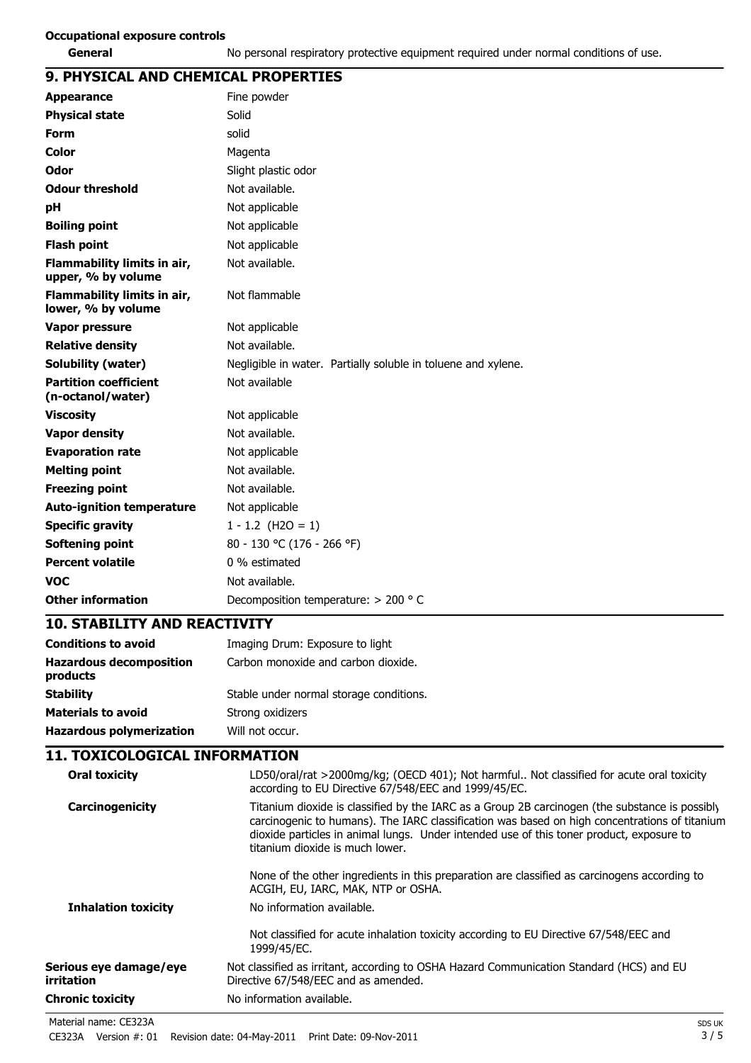### **9. PHYSICAL AND CHEMICAL PROPERTIES**

| <b>Appearance</b>                                 | Fine powder                                                   |
|---------------------------------------------------|---------------------------------------------------------------|
| <b>Physical state</b>                             | Solid                                                         |
| <b>Form</b>                                       | solid                                                         |
| Color                                             | Magenta                                                       |
| Odor                                              | Slight plastic odor                                           |
| <b>Odour threshold</b>                            | Not available.                                                |
| рH                                                | Not applicable                                                |
| <b>Boiling point</b>                              | Not applicable                                                |
| <b>Flash point</b>                                | Not applicable                                                |
| Flammability limits in air,<br>upper, % by volume | Not available.                                                |
| Flammability limits in air,<br>lower, % by volume | Not flammable                                                 |
| <b>Vapor pressure</b>                             | Not applicable                                                |
| <b>Relative density</b>                           | Not available.                                                |
| <b>Solubility (water)</b>                         | Negligible in water. Partially soluble in toluene and xylene. |
| <b>Partition coefficient</b><br>(n-octanol/water) | Not available                                                 |
| <b>Viscosity</b>                                  | Not applicable                                                |
| <b>Vapor density</b>                              | Not available.                                                |
| <b>Evaporation rate</b>                           | Not applicable                                                |
| <b>Melting point</b>                              | Not available.                                                |
| <b>Freezing point</b>                             | Not available.                                                |
| <b>Auto-ignition temperature</b>                  | Not applicable                                                |
| <b>Specific gravity</b>                           | $1 - 1.2$ (H2O = 1)                                           |
| Softening point                                   | 80 - 130 °C (176 - 266 °F)                                    |
| <b>Percent volatile</b>                           | 0 % estimated                                                 |
| <b>VOC</b>                                        | Not available.                                                |
| <b>Other information</b>                          | Decomposition temperature: $> 200$ ° C                        |
| <b>10. STABILITY AND REACTIVITY</b>               |                                                               |
| <b>Conditions to avoid</b>                        | Imaging Drum: Exposure to light                               |
| <b>Hazardous decomposition</b><br>products        | Carbon monoxide and carbon dioxide.                           |

**Stability** Stable under normal storage conditions. **Materials to avoid** Strong oxidizers **Hazardous polymerization** Will not occur.

#### **11. TOXICOLOGICAL INFORMATION**

| Oral toxicity                        | LD50/oral/rat >2000mg/kg; (OECD 401); Not harmful Not classified for acute oral toxicity<br>according to EU Directive 67/548/EEC and 1999/45/EC.                                                                                                                                                                               |
|--------------------------------------|--------------------------------------------------------------------------------------------------------------------------------------------------------------------------------------------------------------------------------------------------------------------------------------------------------------------------------|
| Carcinogenicity                      | Titanium dioxide is classified by the IARC as a Group 2B carcinogen (the substance is possibly<br>carcinogenic to humans). The IARC classification was based on high concentrations of titanium<br>dioxide particles in animal lungs. Under intended use of this toner product, exposure to<br>titanium dioxide is much lower. |
|                                      | None of the other ingredients in this preparation are classified as carcinogens according to<br>ACGIH, EU, IARC, MAK, NTP or OSHA.                                                                                                                                                                                             |
| <b>Inhalation toxicity</b>           | No information available.                                                                                                                                                                                                                                                                                                      |
|                                      | Not classified for acute inhalation toxicity according to EU Directive 67/548/EEC and<br>1999/45/EC.                                                                                                                                                                                                                           |
| Serious eye damage/eye<br>irritation | Not classified as irritant, according to OSHA Hazard Communication Standard (HCS) and EU<br>Directive 67/548/EEC and as amended.                                                                                                                                                                                               |
| Chronic toxicity                     | No information available.                                                                                                                                                                                                                                                                                                      |
|                                      |                                                                                                                                                                                                                                                                                                                                |

Material name: CE323A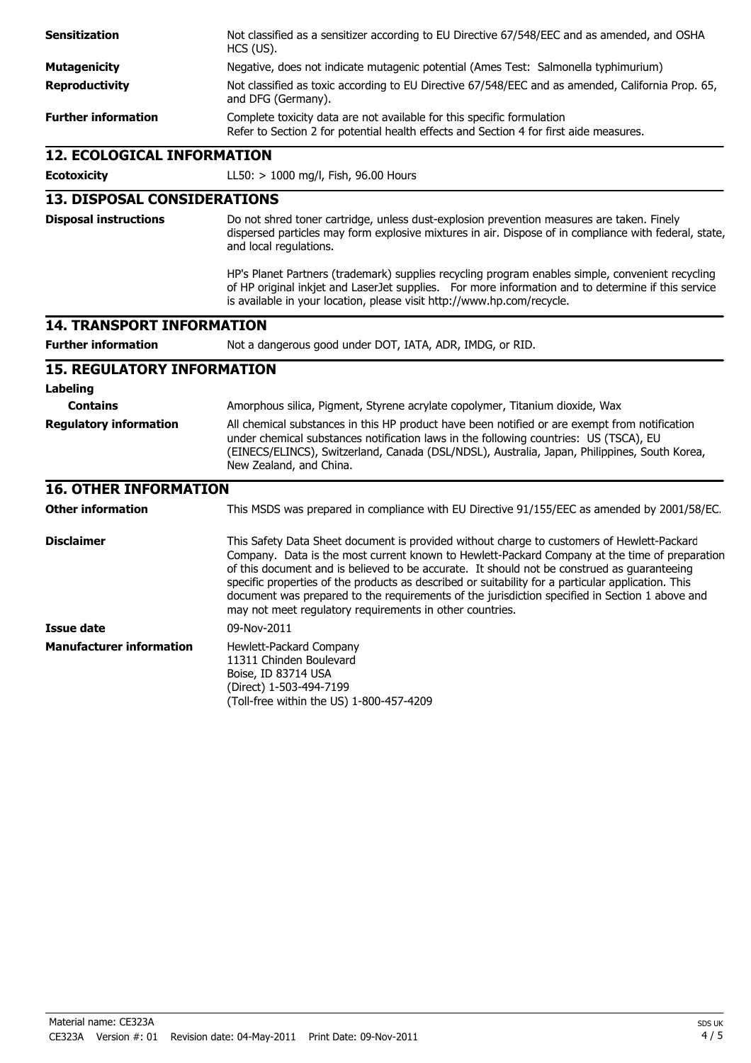| <b>Sensitization</b>               | Not classified as a sensitizer according to EU Directive 67/548/EEC and as amended, and OSHA<br>HCS (US).                                                                                                                                                                                                                                                                                                                                                                                                                                                      |  |  |
|------------------------------------|----------------------------------------------------------------------------------------------------------------------------------------------------------------------------------------------------------------------------------------------------------------------------------------------------------------------------------------------------------------------------------------------------------------------------------------------------------------------------------------------------------------------------------------------------------------|--|--|
| <b>Mutagenicity</b>                | Negative, does not indicate mutagenic potential (Ames Test: Salmonella typhimurium)                                                                                                                                                                                                                                                                                                                                                                                                                                                                            |  |  |
| <b>Reproductivity</b>              | Not classified as toxic according to EU Directive 67/548/EEC and as amended, California Prop. 65,<br>and DFG (Germany).                                                                                                                                                                                                                                                                                                                                                                                                                                        |  |  |
| <b>Further information</b>         | Complete toxicity data are not available for this specific formulation<br>Refer to Section 2 for potential health effects and Section 4 for first aide measures.                                                                                                                                                                                                                                                                                                                                                                                               |  |  |
| <b>12. ECOLOGICAL INFORMATION</b>  |                                                                                                                                                                                                                                                                                                                                                                                                                                                                                                                                                                |  |  |
| <b>Ecotoxicity</b>                 | LL50: > 1000 mg/l, Fish, 96.00 Hours                                                                                                                                                                                                                                                                                                                                                                                                                                                                                                                           |  |  |
| <b>13. DISPOSAL CONSIDERATIONS</b> |                                                                                                                                                                                                                                                                                                                                                                                                                                                                                                                                                                |  |  |
| <b>Disposal instructions</b>       | Do not shred toner cartridge, unless dust-explosion prevention measures are taken. Finely<br>dispersed particles may form explosive mixtures in air. Dispose of in compliance with federal, state,<br>and local regulations.                                                                                                                                                                                                                                                                                                                                   |  |  |
|                                    | HP's Planet Partners (trademark) supplies recycling program enables simple, convenient recycling<br>of HP original inkjet and LaserJet supplies. For more information and to determine if this service<br>is available in your location, please visit http://www.hp.com/recycle.                                                                                                                                                                                                                                                                               |  |  |
| <b>14. TRANSPORT INFORMATION</b>   |                                                                                                                                                                                                                                                                                                                                                                                                                                                                                                                                                                |  |  |
| <b>Further information</b>         | Not a dangerous good under DOT, IATA, ADR, IMDG, or RID.                                                                                                                                                                                                                                                                                                                                                                                                                                                                                                       |  |  |
| <b>15. REGULATORY INFORMATION</b>  |                                                                                                                                                                                                                                                                                                                                                                                                                                                                                                                                                                |  |  |
| <b>Labeling</b>                    |                                                                                                                                                                                                                                                                                                                                                                                                                                                                                                                                                                |  |  |
| <b>Contains</b>                    | Amorphous silica, Pigment, Styrene acrylate copolymer, Titanium dioxide, Wax                                                                                                                                                                                                                                                                                                                                                                                                                                                                                   |  |  |
| <b>Regulatory information</b>      | All chemical substances in this HP product have been notified or are exempt from notification<br>under chemical substances notification laws in the following countries: US (TSCA), EU<br>(EINECS/ELINCS), Switzerland, Canada (DSL/NDSL), Australia, Japan, Philippines, South Korea,<br>New Zealand, and China.                                                                                                                                                                                                                                              |  |  |
| <b>16. OTHER INFORMATION</b>       |                                                                                                                                                                                                                                                                                                                                                                                                                                                                                                                                                                |  |  |
| <b>Other information</b>           | This MSDS was prepared in compliance with EU Directive 91/155/EEC as amended by 2001/58/EC.                                                                                                                                                                                                                                                                                                                                                                                                                                                                    |  |  |
| <b>Disclaimer</b>                  | This Safety Data Sheet document is provided without charge to customers of Hewlett-Packarc<br>Company. Data is the most current known to Hewlett-Packard Company at the time of preparation<br>of this document and is believed to be accurate. It should not be construed as guaranteeing<br>specific properties of the products as described or suitability for a particular application. This<br>document was prepared to the requirements of the jurisdiction specified in Section 1 above and<br>may not meet regulatory requirements in other countries. |  |  |
| <b>Issue date</b>                  | 09-Nov-2011                                                                                                                                                                                                                                                                                                                                                                                                                                                                                                                                                    |  |  |
| <b>Manufacturer information</b>    | Hewlett-Packard Company<br>11311 Chinden Boulevard<br>Boise, ID 83714 USA<br>(Direct) 1-503-494-7199<br>(Toll-free within the US) 1-800-457-4209                                                                                                                                                                                                                                                                                                                                                                                                               |  |  |